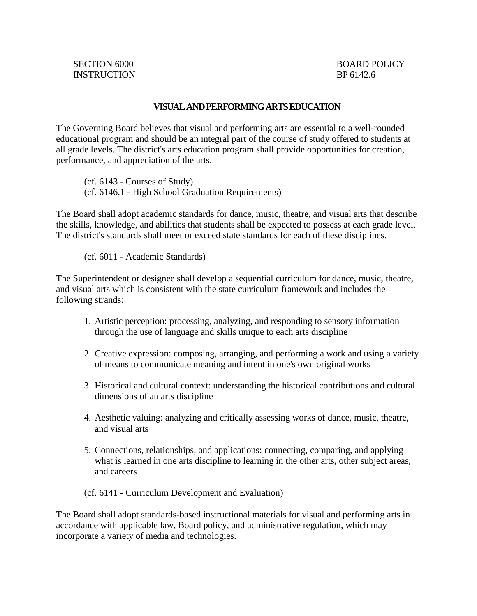## **VISUAL AND PERFORMING ARTS EDUCATION**

The Governing Board believes that visual and performing arts are essential to a well-rounded educational program and should be an integral part of the course of study offered to students at all grade levels. The district's arts education program shall provide opportunities for creation, performance, and appreciation of the arts.

(cf. 6143 - Courses of Study) (cf. 6146.1 - High School Graduation Requirements)

The Board shall adopt academic standards for dance, music, theatre, and visual arts that describe the skills, knowledge, and abilities that students shall be expected to possess at each grade level. The district's standards shall meet or exceed state standards for each of these disciplines.

(cf. 6011 - Academic Standards)

The Superintendent or designee shall develop a sequential curriculum for dance, music, theatre, and visual arts which is consistent with the state curriculum framework and includes the following strands:

- 1. Artistic perception: processing, analyzing, and responding to sensory information through the use of language and skills unique to each arts discipline
- 2. Creative expression: composing, arranging, and performing a work and using a variety of means to communicate meaning and intent in one's own original works
- 3. Historical and cultural context: understanding the historical contributions and cultural dimensions of an arts discipline
- 4. Aesthetic valuing: analyzing and critically assessing works of dance, music, theatre, and visual arts
- 5. Connections, relationships, and applications: connecting, comparing, and applying what is learned in one arts discipline to learning in the other arts, other subject areas, and careers
- (cf. 6141 Curriculum Development and Evaluation)

The Board shall adopt standards-based instructional materials for visual and performing arts in accordance with applicable law, Board policy, and administrative regulation, which may incorporate a variety of media and technologies.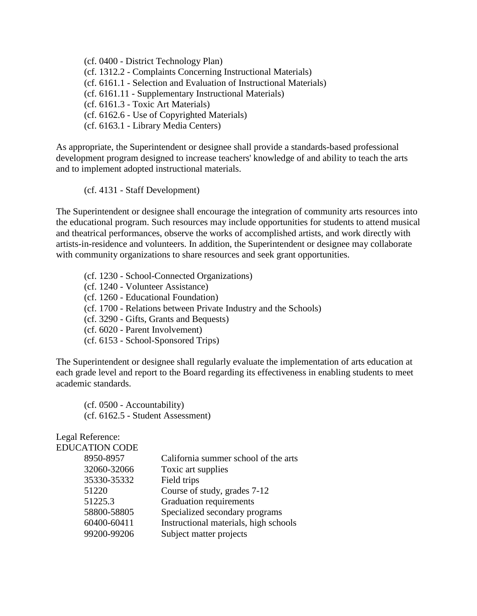(cf. 0400 - District Technology Plan) (cf. 1312.2 - Complaints Concerning Instructional Materials) (cf. 6161.1 - Selection and Evaluation of Instructional Materials) (cf. 6161.11 - Supplementary Instructional Materials) (cf. 6161.3 - Toxic Art Materials) (cf. 6162.6 - Use of Copyrighted Materials) (cf. 6163.1 - Library Media Centers)

As appropriate, the Superintendent or designee shall provide a standards-based professional development program designed to increase teachers' knowledge of and ability to teach the arts and to implement adopted instructional materials.

(cf. 4131 - Staff Development)

The Superintendent or designee shall encourage the integration of community arts resources into the educational program. Such resources may include opportunities for students to attend musical and theatrical performances, observe the works of accomplished artists, and work directly with artists-in-residence and volunteers. In addition, the Superintendent or designee may collaborate with community organizations to share resources and seek grant opportunities.

(cf. 1230 - School-Connected Organizations)

(cf. 1240 - Volunteer Assistance)

(cf. 1260 - Educational Foundation)

(cf. 1700 - Relations between Private Industry and the Schools)

(cf. 3290 - Gifts, Grants and Bequests)

(cf. 6020 - Parent Involvement)

(cf. 6153 - School-Sponsored Trips)

The Superintendent or designee shall regularly evaluate the implementation of arts education at each grade level and report to the Board regarding its effectiveness in enabling students to meet academic standards.

(cf. 0500 - Accountability) (cf. 6162.5 - Student Assessment)

Legal Reference: EDUCATION CODE

| DUCATION CODE |                                       |
|---------------|---------------------------------------|
| 8950-8957     | California summer school of the arts  |
| 32060-32066   | Toxic art supplies                    |
| 35330-35332   | Field trips                           |
| 51220         | Course of study, grades 7-12          |
| 51225.3       | <b>Graduation requirements</b>        |
| 58800-58805   | Specialized secondary programs        |
| 60400-60411   | Instructional materials, high schools |
| 99200-99206   | Subject matter projects               |
|               |                                       |